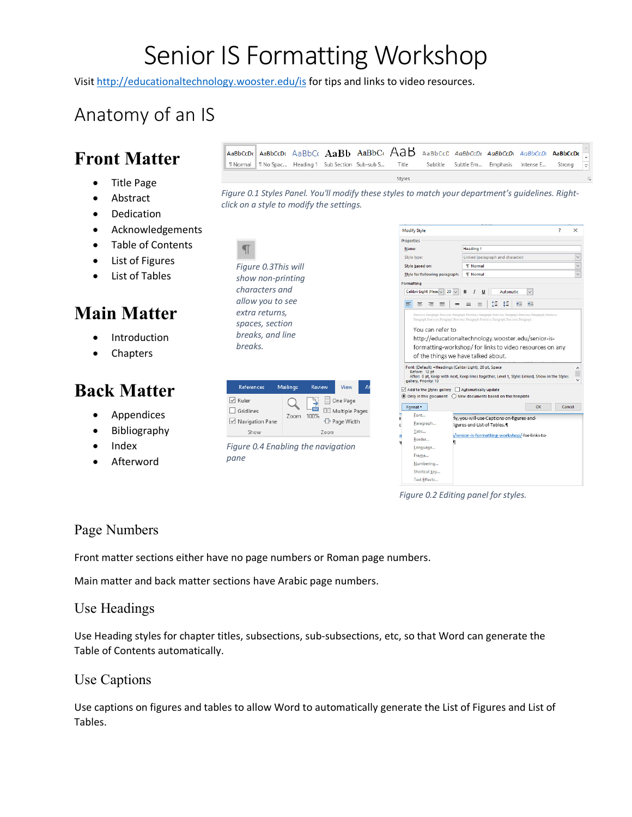# Senior IS Formatting Workshop

*Figure 0.1 Styles Panel. You'll modify these styles to match your department's guidelines. Right-*

AaBbCcDt AaBbCcDt AaBbCt  $A$ a $B$ b AaBbCt  $A$ a $B$  AaBbCcD AaBbCcDt AaBbCcDt AaBbCcDt AaBbCcDt AaBbCcDt

Title

Styles

Visit http://educationaltechnology.wooster.edu/is for tips and links to video resources.

### Anatomy of an IS

### **Front Matter**

- Title Page
- Abstract
- Dedication
- Acknowledgements
- Table of Contents
- List of Figures
- List of Tables

### **Main Matter**

- **Introduction**
- Chapters

### **Back Matter**

- **Appendices**
- Bibliography
- Index
- **Afterword**

 $\P$ *Figure 0.3This will show non-printing characters and allow you to see extra returns, spaces, section breaks, and line breaks.*

*click on a style to modify the settings.*

1 Normal 1 No Spac... Heading 1 Sub Section Sub-sub S...



*Figure 0.4 Enabling the navigation pane*



Subtitle Subtle Em... Emphasis Intense E...

Strong

*Figure 0.2 Editing panel for styles.*

#### Page Numbers

Front matter sections either have no page numbers or Roman page numbers.

Main matter and back matter sections have Arabic page numbers.

#### Use Headings

Use Heading styles for chapter titles, subsections, sub-subsections, etc, so that Word can generate the Table of Contents automatically.

#### Use Captions

Use captions on figures and tables to allow Word to automatically generate the List of Figures and List of Tables.